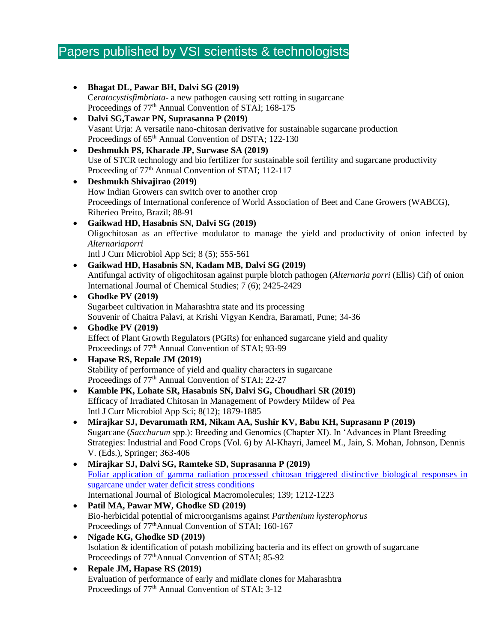# Papers published by VSI scientists & technologists

- **Bhagat DL, Pawar BH, Dalvi SG (2019)**  C*eratocystisfimbriata*- a new pathogen causing sett rotting in sugarcane Proceedings of 77<sup>th</sup> Annual Convention of STAI; 168-175 • **Dalvi SG,Tawar PN, Suprasanna P (2019)**  Vasant Urja: A versatile nano-chitosan derivative for sustainable sugarcane production Proceedings of  $65<sup>th</sup>$  Annual Convention of DSTA; 122-130 • **Deshmukh PS, Kharade JP, Surwase SA (2019)** Use of STCR technology and bio fertilizer for sustainable soil fertility and sugarcane productivity Proceeding of 77<sup>th</sup> Annual Convention of STAI; 112-117 • **Deshmukh Shivajirao (2019)** How Indian Growers can switch over to another crop Proceedings of International conference of World Association of Beet and Cane Growers (WABCG), Riberieo Preito, Brazil; 88-91 • **Gaikwad HD, Hasabnis SN, Dalvi SG (2019)**  Oligochitosan as an effective modulator to manage the yield and productivity of onion infected by *Alternariaporri* Intl J Curr Microbiol App Sci; 8 (5); 555-561 • **Gaikwad HD, Hasabnis SN, Kadam MB, Dalvi SG (2019)**  Antifungal activity of oligochitosan against purple blotch pathogen (*Alternaria porri* (Ellis) Cif) of onion International Journal of Chemical Studies; 7 (6); 2425-2429 • **Ghodke PV (2019)** Sugarbeet cultivation in Maharashtra state and its processing Souvenir of Chaitra Palavi, at Krishi Vigyan Kendra, Baramati, Pune; 34-36 • **Ghodke PV (2019)** Effect of Plant Growth Regulators (PGRs) for enhanced sugarcane yield and quality Proceedings of 77<sup>th</sup> Annual Convention of STAI; 93-99 • **Hapase RS, Repale JM (2019)**  Stability of performance of yield and quality characters in sugarcane Proceedings of 77<sup>th</sup> Annual Convention of STAI; 22-27 • **Kamble PK, Lohate SR, Hasabnis SN, Dalvi SG, Choudhari SR (2019)**  Efficacy of Irradiated Chitosan in Management of Powdery Mildew of Pea Intl J Curr Microbiol App Sci; 8(12); 1879-1885 • **Mirajkar SJ, Devarumath RM, Nikam AA, Sushir KV, Babu KH, Suprasann P (2019)**  Sugarcane (*Saccharum* spp.): Breeding and Genomics (Chapter XI). In 'Advances in Plant Breeding Strategies: Industrial and Food Crops (Vol. 6) by Al**-**Khayri, Jameel M., Jain, S. Mohan, Johnson, Dennis V. (Eds.), Springer; 363-406 • **Mirajkar SJ, Dalvi SG, Ramteke SD, Suprasanna P (2019)**  [Foliar application of gamma radiation processed chitosan triggered distinctive biological responses in](http://scholar.google.co.in/scholar_url?url=https://www.sciencedirect.com/science/article/pii/S014181301935603X&hl=en&sa=X&d=5736686643252958197&scisig=AAGBfm0eV1U1xXErc0Ku_UpsUE9AkrVdrg&nossl=1&oi=scholaralrt&hist=q2AtewsAAAAJ:868377157610762714:AAGBfm0MOGhw7dekkIoooeUaKd40A8C3ag)  [sugarcane under water deficit stress conditions](http://scholar.google.co.in/scholar_url?url=https://www.sciencedirect.com/science/article/pii/S014181301935603X&hl=en&sa=X&d=5736686643252958197&scisig=AAGBfm0eV1U1xXErc0Ku_UpsUE9AkrVdrg&nossl=1&oi=scholaralrt&hist=q2AtewsAAAAJ:868377157610762714:AAGBfm0MOGhw7dekkIoooeUaKd40A8C3ag) International Journal of Biological Macromolecules; 139; 1212-1223
- **Patil MA, Pawar MW, Ghodke SD (2019)** Bio-herbicidal potential of microorganisms against *Parthenium hysterophorus* Proceedings of 77<sup>th</sup>Annual Convention of STAI; 160-167
- **Nigade KG, Ghodke SD (2019)** Isolation & identification of potash mobilizing bacteria and its effect on growth of sugarcane Proceedings of 77<sup>th</sup>Annual Convention of STAI; 85-92
- **Repale JM, Hapase RS (2019)** Evaluation of performance of early and midlate clones for Maharashtra Proceedings of 77<sup>th</sup> Annual Convention of STAI; 3-12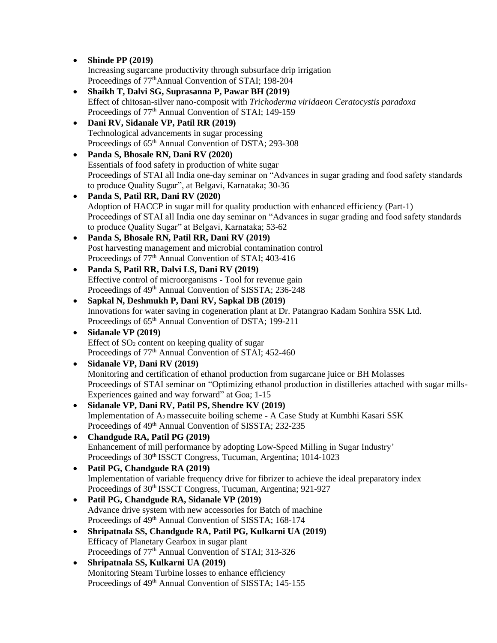• **Shinde PP (2019)**

Increasing sugarcane productivity through subsurface drip irrigation Proceedings of  $77<sup>th</sup>$ Annual Convention of STAI; 198-204

- **Shaikh T, Dalvi SG, Suprasanna P, Pawar BH (2019)** Effect of chitosan-silver nano-composit with *Trichoderma viridae*o*n Ceratocystis paradoxa* Proceedings of 77<sup>th</sup> Annual Convention of STAI; 149-159
- **Dani RV, Sidanale VP, Patil RR (2019)** Technological advancements in sugar processing Proceedings of 65<sup>th</sup> Annual Convention of DSTA; 293-308
- **Panda S, Bhosale RN, Dani RV (2020)** Essentials of food safety in production of white sugar Proceedings of STAI all India one-day seminar on "Advances in sugar grading and food safety standards to produce Quality Sugar", at Belgavi, Karnataka; 30-36
- **Panda S, Patil RR, Dani RV (2020)** Adoption of HACCP in sugar mill for quality production with enhanced efficiency (Part-1) Proceedings of STAI all India one day seminar on "Advances in sugar grading and food safety standards to produce Quality Sugar" at Belgavi, Karnataka; 53-62
- **Panda S, Bhosale RN, Patil RR, Dani RV (2019)** Post harvesting management and microbial contamination control Proceedings of 77<sup>th</sup> Annual Convention of STAI; 403-416
- **Panda S, Patil RR, Dalvi LS, Dani RV (2019)** Effective control of microorganisms - Tool for revenue gain Proceedings of 49<sup>th</sup> Annual Convention of SISSTA; 236-248
- **Sapkal N, Deshmukh P, Dani RV, Sapkal DB (2019)** Innovations for water saving in cogeneration plant at Dr. Patangrao Kadam Sonhira SSK Ltd. Proceedings of 65<sup>th</sup> Annual Convention of DSTA; 199-211
- **Sidanale VP (2019)** Effect of  $SO<sub>2</sub>$  content on keeping quality of sugar Proceedings of 77<sup>th</sup> Annual Convention of STAI; 452-460
- **Sidanale VP, Dani RV (2019)** Monitoring and certification of ethanol production from sugarcane juice or BH Molasses Proceedings of STAI seminar on "Optimizing ethanol production in distilleries attached with sugar mills-Experiences gained and way forward" at Goa; 1-15 • **Sidanale VP, Dani RV, Patil PS, Shendre KV (2019)**
- Implementation of A2 massecuite boiling scheme A Case Study at Kumbhi Kasari SSK Proceedings of 49<sup>th</sup> Annual Convention of SISSTA; 232-235
- **Chandgude RA, Patil PG (2019)** Enhancement of mill performance by adopting Low-Speed Milling in Sugar Industry' Proceedings of 30th ISSCT Congress, Tucuman, Argentina; 1014-1023
- **Patil PG, Chandgude RA (2019)** Implementation of variable frequency drive for fibrizer to achieve the ideal preparatory index Proceedings of 30<sup>th</sup> ISSCT Congress, Tucuman, Argentina; 921-927
- **Patil PG, Chandgude RA, Sidanale VP (2019)** Advance drive system with new accessories for Batch of machine Proceedings of 49th Annual Convention of SISSTA; 168-174
- **Shripatnala SS, Chandgude RA, Patil PG, Kulkarni UA (2019)** Efficacy of Planetary Gearbox in sugar plant Proceedings of  $77<sup>th</sup>$  Annual Convention of STAI; 313-326
- **Shripatnala SS, Kulkarni UA (2019)** Monitoring Steam Turbine losses to enhance efficiency Proceedings of 49<sup>th</sup> Annual Convention of SISSTA; 145-155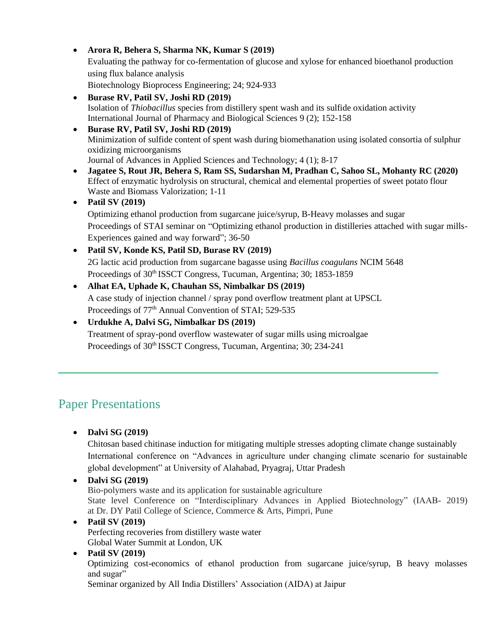• **Arora R, Behera S, Sharma NK, Kumar S (2019)** Evaluating the pathway for co-fermentation of glucose and xylose for enhanced bioethanol production using flux balance analysis Biotechnology Bioprocess Engineering; 24; 924-933

- **Burase RV, Patil SV, Joshi RD (2019)** Isolation of *Thiobacillus* species from distillery spent wash and its sulfide oxidation activity International Journal of Pharmacy and Biological Sciences 9 (2); 152-158
- **Burase RV, Patil SV, Joshi RD (2019)** Minimization of sulfide content of spent wash during biomethanation using isolated consortia of sulphur oxidizing microorganisms Journal of Advances in Applied Sciences and Technology; 4 (1); 8-17
- **Jagatee S, Rout JR, Behera S, Ram SS, Sudarshan M, Pradhan C, Sahoo SL, Mohanty RC (2020)** Effect of enzymatic hydrolysis on structural, chemical and elemental properties of sweet potato flour Waste and Biomass Valorization; 1-11
- **Patil SV (2019)**

Optimizing ethanol production from sugarcane juice/syrup, B-Heavy molasses and sugar Proceedings of STAI seminar on "Optimizing ethanol production in distilleries attached with sugar mills-Experiences gained and way forward"; 36-50

• **Patil SV, Konde KS, Patil SD, Burase RV (2019)** 2G lactic acid production from sugarcane bagasse using *Bacillus coagulans* NCIM 5648 Proceedings of 30<sup>th</sup> ISSCT Congress, Tucuman, Argentina; 30; 1853-1859

- **Alhat EA, Uphade K, Chauhan SS, Nimbalkar DS (2019)** A case study of injection channel / spray pond overflow treatment plant at UPSCL Proceedings of 77<sup>th</sup> Annual Convention of STAI; 529-535
- **Urdukhe A, Dalvi SG, Nimbalkar DS (2019)** Treatment of spray-pond overflow wastewater of sugar mills using microalgae Proceedings of 30<sup>th</sup> ISSCT Congress, Tucuman, Argentina; 30; 234-241

## Paper Presentations

• **Dalvi SG (2019)** 

Chitosan based chitinase induction for mitigating multiple stresses adopting climate change sustainably International conference on "Advances in agriculture under changing climate scenario for sustainable global development" at University of Alahabad, Pryagraj, Uttar Pradesh

• **Dalvi SG (2019)** Bio-polymers waste and its application for sustainable agriculture State level Conference on "Interdisciplinary Advances in Applied Biotechnology" (IAAB- 2019) at Dr. DY Patil College of Science, Commerce & Arts, Pimpri, Pune

#### • **Patil SV (2019)** Perfecting recoveries from distillery waste water Global Water Summit at London, UK

### • **Patil SV (2019)**

Optimizing cost-economics of ethanol production from sugarcane juice/syrup, B heavy molasses and sugar"

Seminar organized by All India Distillers' Association (AIDA) at Jaipur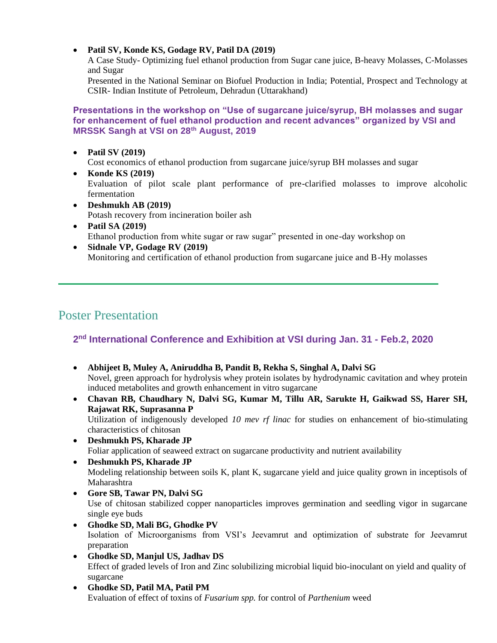#### • **Patil SV, Konde KS, Godage RV, Patil DA (2019)**

A Case Study- Optimizing fuel ethanol production from Sugar cane juice, B-heavy Molasses, C-Molasses and Sugar

Presented in the National Seminar on Biofuel Production in India; Potential, Prospect and Technology at CSIR- Indian Institute of Petroleum, Dehradun (Uttarakhand)

#### **Presentations in the workshop on "Use of sugarcane juice/syrup, BH molasses and sugar for enhancement of fuel ethanol production and recent advances" organized by VSI and MRSSK Sangh at VSI on 28th August, 2019**

• **Patil SV (2019)**

Cost economics of ethanol production from sugarcane juice/syrup BH molasses and sugar

- **Konde KS (2019)** Evaluation of pilot scale plant performance of pre-clarified molasses to improve alcoholic fermentation
- **Deshmukh AB (2019)** Potash recovery from incineration boiler ash
- **Patil SA (2019)** Ethanol production from white sugar or raw sugar" presented in one-day workshop on
- **Sidnale VP, Godage RV (2019)** Monitoring and certification of ethanol production from sugarcane juice and B-Hy molasses

## Poster Presentation

### **2 nd International Conference and Exhibition at VSI during Jan. 31 - Feb.2, 2020**

- **Abhijeet B, Muley A, Aniruddha B, Pandit B, Rekha S, Singhal A, Dalvi SG** Novel, green approach for hydrolysis whey protein isolates by hydrodynamic cavitation and whey protein induced metabolites and growth enhancement in vitro sugarcane
- **Chavan RB, Chaudhary N, Dalvi SG, Kumar M, Tillu AR, Sarukte H, Gaikwad SS, Harer SH, Rajawat RK, Suprasanna P** Utilization of indigenously developed *10 mev rf linac* for studies on enhancement of bio-stimulating characteristics of chitosan
- **Deshmukh PS, Kharade JP**  Foliar application of seaweed extract on sugarcane productivity and nutrient availability
- **Deshmukh PS, Kharade JP**  Modeling relationship between soils K, plant K, sugarcane yield and juice quality grown in inceptisols of Maharashtra
- **Gore SB, Tawar PN, Dalvi SG**  Use of chitosan stabilized copper nanoparticles improves germination and seedling vigor in sugarcane single eye buds
- **Ghodke SD, Mali BG, Ghodke PV**  Isolation of Microorganisms from VSI's Jeevamrut and optimization of substrate for Jeevamrut preparation
- **Ghodke SD, Manjul US, Jadhav DS**  Effect of graded levels of Iron and Zinc solubilizing microbial liquid bio-inoculant on yield and quality of sugarcane
- **Ghodke SD, Patil MA, Patil PM**  Evaluation of effect of toxins of *Fusarium spp.* for control of *Parthenium* weed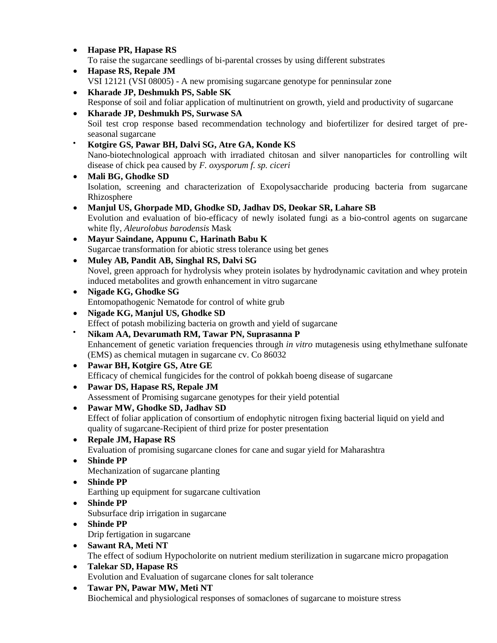- **Hapase PR, Hapase RS**  To raise the sugarcane seedlings of bi-parental crosses by using different substrates
- **Hapase RS, Repale JM**  VSI 12121 (VSI 08005) - A new promising sugarcane genotype for penninsular zone
- **Kharade JP, Deshmukh PS, Sable SK**  Response of soil and foliar application of multinutrient on growth, yield and productivity of sugarcane
- **Kharade JP, Deshmukh PS, Surwase SA**  Soil test crop response based recommendation technology and biofertilizer for desired target of preseasonal sugarcane
- **Kotgire GS, Pawar BH, Dalvi SG, Atre GA, Konde KS**  Nano-biotechnological approach with irradiated chitosan and silver nanoparticles for controlling wilt disease of chick pea caused by *F. oxysporum f. sp. ciceri*
- **Mali BG, Ghodke SD**  Isolation, screening and characterization of Exopolysaccharide producing bacteria from sugarcane Rhizosphere
- **Manjul US, Ghorpade MD, Ghodke SD, Jadhav DS, Deokar SR, Lahare SB**  Evolution and evaluation of bio-efficacy of newly isolated fungi as a bio-control agents on sugarcane white fly, *Aleurolobus barodensis* Mask
- **Mayur Saindane, Appunu C, Harinath Babu K** Sugarcae transformation for abiotic stress tolerance using bet genes
- **Muley AB, Pandit AB, Singhal RS, Dalvi SG** Novel, green approach for hydrolysis whey protein isolates by hydrodynamic cavitation and whey protein induced metabolites and growth enhancement in vitro sugarcane
- **Nigade KG, Ghodke SG** Entomopathogenic Nematode for control of white grub
- **Nigade KG, Manjul US, Ghodke SD**  Effect of potash mobilizing bacteria on growth and yield of sugarcane • **Nikam AA, Devarumath RM, Tawar PN, Suprasanna P** 
	- Enhancement of genetic variation frequencies through *in vitro* mutagenesis using ethylmethane sulfonate (EMS) as chemical mutagen in sugarcane cv. Co 86032
- **Pawar BH, Kotgire GS, Atre GE** Efficacy of chemical fungicides for the control of pokkah boeng disease of sugarcane
- **Pawar DS, Hapase RS, Repale JM**  Assessment of Promising sugarcane genotypes for their yield potential
- **Pawar MW, Ghodke SD, Jadhav SD**  Effect of foliar application of consortium of endophytic nitrogen fixing bacterial liquid on yield and quality of sugarcane-Recipient of third prize for poster presentation
- **Repale JM, Hapase RS**  Evaluation of promising sugarcane clones for cane and sugar yield for Maharashtra
- **Shinde PP**  Mechanization of sugarcane planting
- **Shinde PP**  Earthing up equipment for sugarcane cultivation
- **Shinde PP** 
	- Subsurface drip irrigation in sugarcane
- **Shinde PP**  Drip fertigation in sugarcane
- **Sawant RA, Meti NT**  The effect of sodium Hypocholorite on nutrient medium sterilization in sugarcane micro propagation
- **Talekar SD, Hapase RS**  Evolution and Evaluation of sugarcane clones for salt tolerance
- **Tawar PN, Pawar MW, Meti NT**  Biochemical and physiological responses of somaclones of sugarcane to moisture stress